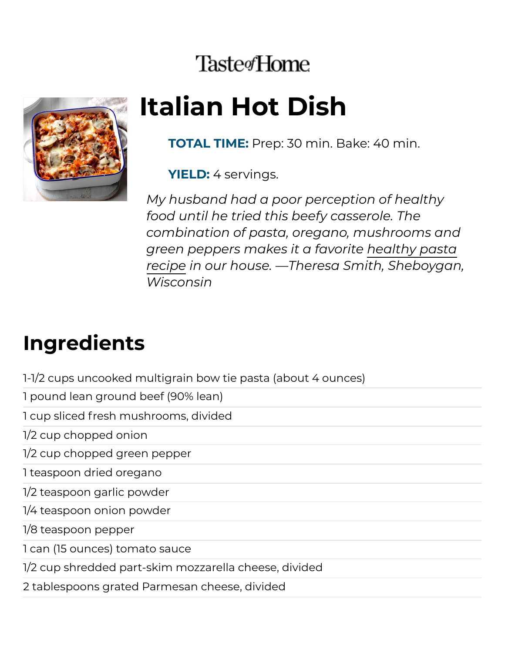## **Taste**<sup>Home</sup>



# **Italian Hot Dish**

**TOTAL TIME:** Prep: 30 min. Bake: 40 min.

**YIELD:** 4 servings.

*My husband had a poor perception of healthy food until he tried this beefy casserole. The combination of pasta, oregano, mushrooms and green peppers makes it a favorite healthy pasta recipe in our house. —Theresa Smith, [Sheboygan](https://www.tasteofhome.com/collection/healthy-pasta-recipes/), Wisconsin*

### **Ingredients**

1-1/2 cups uncooked multigrain bow tie pasta (about 4 ounces)

1 pound lean ground beef (90% lean)

1 cup sliced fresh mushrooms, divided

1/2 cup chopped onion

1/2 cup chopped green pepper

1 teaspoon dried oregano

1/2 teaspoon garlic powder

1/4 teaspoon onion powder

1/8 teaspoon pepper

1 can (15 ounces) tomato sauce

1/2 cup shredded part-skim mozzarella cheese, divided

2 tablespoons grated Parmesan cheese, divided